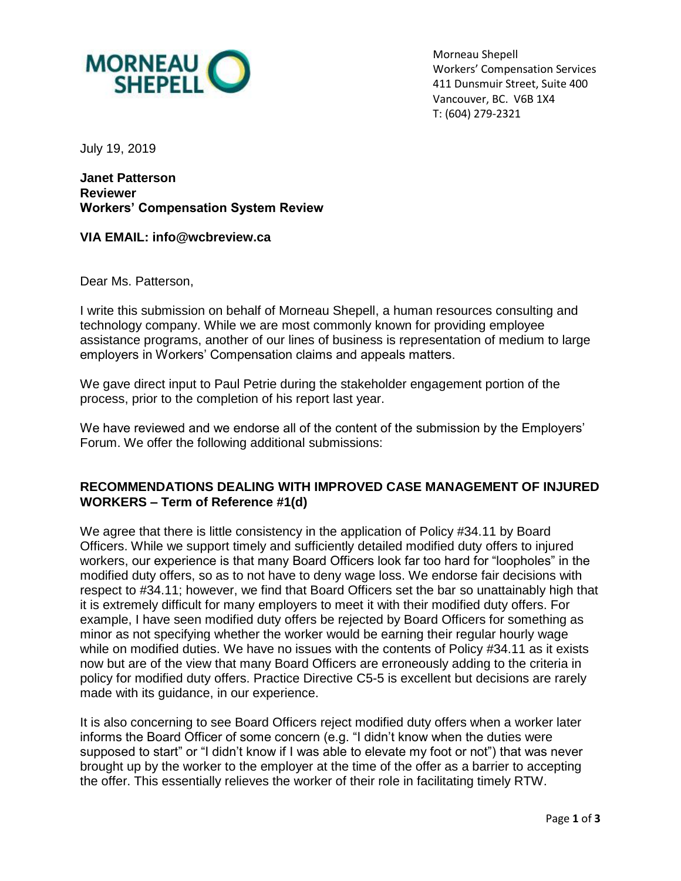

Morneau Shepell Workers' Compensation Services 411 Dunsmuir Street, Suite 400 Vancouver, BC. V6B 1X4 T: (604) 279-2321

July 19, 2019

**Janet Patterson Reviewer Workers' Compensation System Review**

**VIA EMAIL: info@wcbreview.ca**

Dear Ms. Patterson,

I write this submission on behalf of Morneau Shepell, a human resources consulting and technology company. While we are most commonly known for providing employee assistance programs, another of our lines of business is representation of medium to large employers in Workers' Compensation claims and appeals matters.

We gave direct input to Paul Petrie during the stakeholder engagement portion of the process, prior to the completion of his report last year.

We have reviewed and we endorse all of the content of the submission by the Employers' Forum. We offer the following additional submissions:

## **RECOMMENDATIONS DEALING WITH IMPROVED CASE MANAGEMENT OF INJURED WORKERS – Term of Reference #1(d)**

We agree that there is little consistency in the application of Policy #34.11 by Board Officers. While we support timely and sufficiently detailed modified duty offers to injured workers, our experience is that many Board Officers look far too hard for "loopholes" in the modified duty offers, so as to not have to deny wage loss. We endorse fair decisions with respect to #34.11; however, we find that Board Officers set the bar so unattainably high that it is extremely difficult for many employers to meet it with their modified duty offers. For example, I have seen modified duty offers be rejected by Board Officers for something as minor as not specifying whether the worker would be earning their regular hourly wage while on modified duties. We have no issues with the contents of Policy #34.11 as it exists now but are of the view that many Board Officers are erroneously adding to the criteria in policy for modified duty offers. Practice Directive C5-5 is excellent but decisions are rarely made with its guidance, in our experience.

It is also concerning to see Board Officers reject modified duty offers when a worker later informs the Board Officer of some concern (e.g. "I didn't know when the duties were supposed to start" or "I didn't know if I was able to elevate my foot or not") that was never brought up by the worker to the employer at the time of the offer as a barrier to accepting the offer. This essentially relieves the worker of their role in facilitating timely RTW.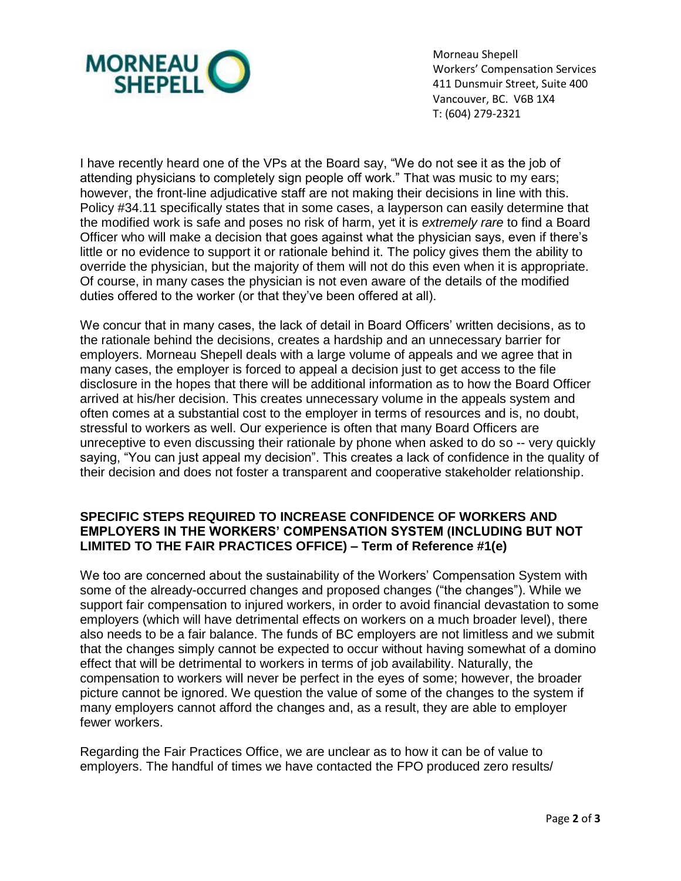

Morneau Shepell Workers' Compensation Services 411 Dunsmuir Street, Suite 400 Vancouver, BC. V6B 1X4 T: (604) 279-2321

I have recently heard one of the VPs at the Board say, "We do not see it as the job of attending physicians to completely sign people off work." That was music to my ears; however, the front-line adjudicative staff are not making their decisions in line with this. Policy #34.11 specifically states that in some cases, a layperson can easily determine that the modified work is safe and poses no risk of harm, yet it is *extremely rare* to find a Board Officer who will make a decision that goes against what the physician says, even if there's little or no evidence to support it or rationale behind it. The policy gives them the ability to override the physician, but the majority of them will not do this even when it is appropriate. Of course, in many cases the physician is not even aware of the details of the modified duties offered to the worker (or that they've been offered at all).

We concur that in many cases, the lack of detail in Board Officers' written decisions, as to the rationale behind the decisions, creates a hardship and an unnecessary barrier for employers. Morneau Shepell deals with a large volume of appeals and we agree that in many cases, the employer is forced to appeal a decision just to get access to the file disclosure in the hopes that there will be additional information as to how the Board Officer arrived at his/her decision. This creates unnecessary volume in the appeals system and often comes at a substantial cost to the employer in terms of resources and is, no doubt, stressful to workers as well. Our experience is often that many Board Officers are unreceptive to even discussing their rationale by phone when asked to do so -- very quickly saying, "You can just appeal my decision". This creates a lack of confidence in the quality of their decision and does not foster a transparent and cooperative stakeholder relationship.

## **SPECIFIC STEPS REQUIRED TO INCREASE CONFIDENCE OF WORKERS AND EMPLOYERS IN THE WORKERS' COMPENSATION SYSTEM (INCLUDING BUT NOT LIMITED TO THE FAIR PRACTICES OFFICE) – Term of Reference #1(e)**

We too are concerned about the sustainability of the Workers' Compensation System with some of the already-occurred changes and proposed changes ("the changes"). While we support fair compensation to injured workers, in order to avoid financial devastation to some employers (which will have detrimental effects on workers on a much broader level), there also needs to be a fair balance. The funds of BC employers are not limitless and we submit that the changes simply cannot be expected to occur without having somewhat of a domino effect that will be detrimental to workers in terms of job availability. Naturally, the compensation to workers will never be perfect in the eyes of some; however, the broader picture cannot be ignored. We question the value of some of the changes to the system if many employers cannot afford the changes and, as a result, they are able to employer fewer workers.

Regarding the Fair Practices Office, we are unclear as to how it can be of value to employers. The handful of times we have contacted the FPO produced zero results/